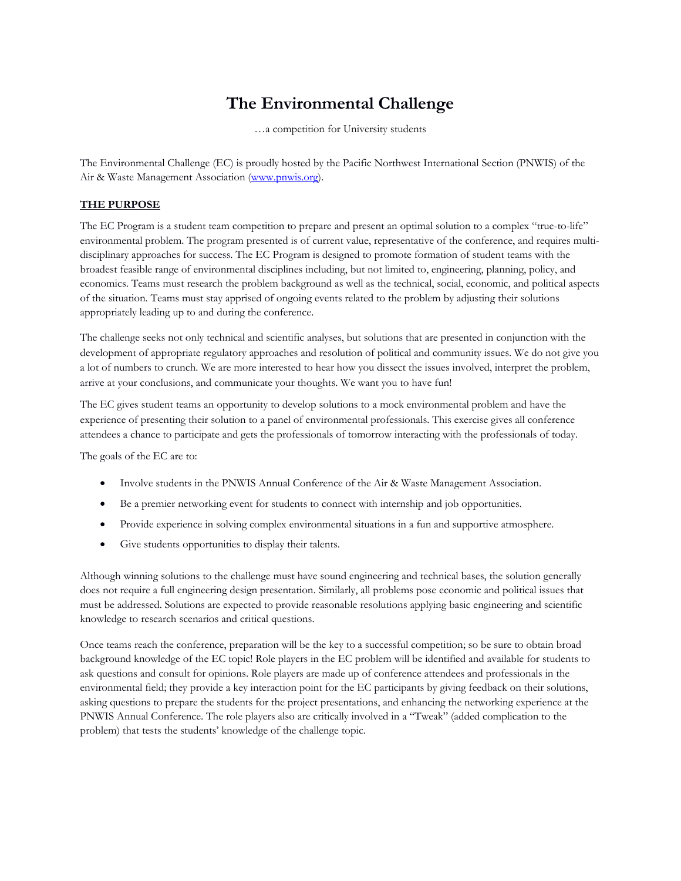# **The Environmental Challenge**

…a competition for University students

The Environmental Challenge (EC) is proudly hosted by the Pacific Northwest International Section (PNWIS) of the Air & Waste Management Association (<www.pnwis.org>).

### **THE PURPOSE**

The EC Program is a student team competition to prepare and present an optimal solution to a complex "true-to-life" environmental problem. The program presented is of current value, representative of the conference, and requires multidisciplinary approaches for success. The EC Program is designed to promote formation of student teams with the broadest feasible range of environmental disciplines including, but not limited to, engineering, planning, policy, and economics. Teams must research the problem background as well as the technical, social, economic, and political aspects of the situation. Teams must stay apprised of ongoing events related to the problem by adjusting their solutions appropriately leading up to and during the conference.

The challenge seeks not only technical and scientific analyses, but solutions that are presented in conjunction with the development of appropriate regulatory approaches and resolution of political and community issues. We do not give you a lot of numbers to crunch. We are more interested to hear how you dissect the issues involved, interpret the problem, arrive at your conclusions, and communicate your thoughts. We want you to have fun!

The EC gives student teams an opportunity to develop solutions to a mock environmental problem and have the experience of presenting their solution to a panel of environmental professionals. This exercise gives all conference attendees a chance to participate and gets the professionals of tomorrow interacting with the professionals of today.

The goals of the EC are to:

- Involve students in the PNWIS Annual Conference of the Air & Waste Management Association.
- Be a premier networking event for students to connect with internship and job opportunities.
- Provide experience in solving complex environmental situations in a fun and supportive atmosphere.
- Give students opportunities to display their talents.

Although winning solutions to the challenge must have sound engineering and technical bases, the solution generally does not require a full engineering design presentation. Similarly, all problems pose economic and political issues that must be addressed. Solutions are expected to provide reasonable resolutions applying basic engineering and scientific knowledge to research scenarios and critical questions.

Once teams reach the conference, preparation will be the key to a successful competition; so be sure to obtain broad background knowledge of the EC topic! Role players in the EC problem will be identified and available for students to ask questions and consult for opinions. Role players are made up of conference attendees and professionals in the environmental field; they provide a key interaction point for the EC participants by giving feedback on their solutions, asking questions to prepare the students for the project presentations, and enhancing the networking experience at the PNWIS Annual Conference. The role players also are critically involved in a "Tweak" (added complication to the problem) that tests the students' knowledge of the challenge topic.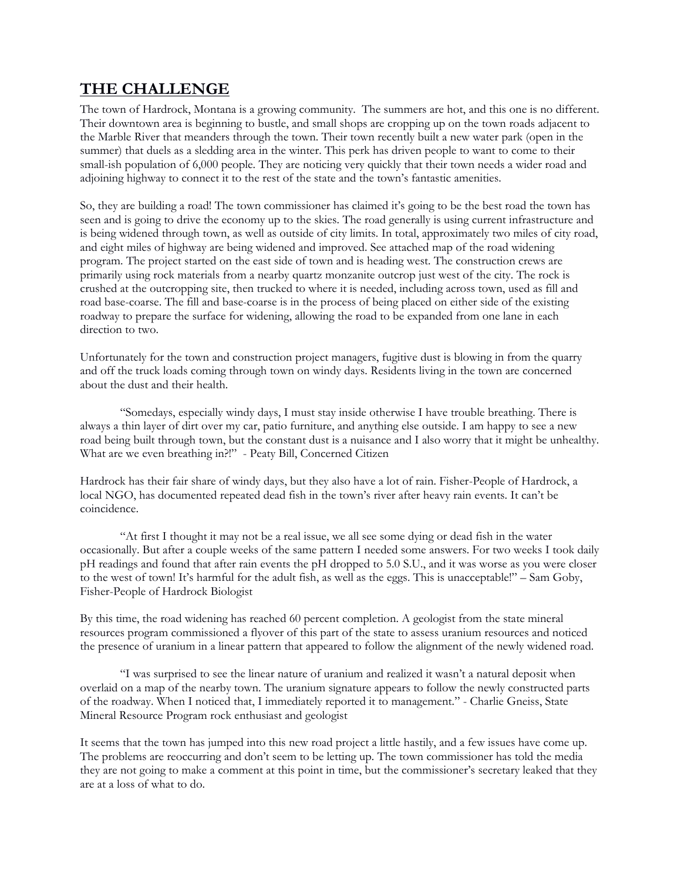## **THE CHALLENGE**

The town of Hardrock, Montana is a growing community. The summers are hot, and this one is no different. Their downtown area is beginning to bustle, and small shops are cropping up on the town roads adjacent to the Marble River that meanders through the town. Their town recently built a new water park (open in the summer) that duels as a sledding area in the winter. This perk has driven people to want to come to their small-ish population of 6,000 people. They are noticing very quickly that their town needs a wider road and adjoining highway to connect it to the rest of the state and the town's fantastic amenities.

direction to two. So, they are building a road! The town commissioner has claimed it's going to be the best road the town has seen and is going to drive the economy up to the skies. The road generally is using current infrastructure and is being widened through town, as well as outside of city limits. In total, approximately two miles of city road, and eight miles of highway are being widened and improved. See attached map of the road widening program. The project started on the east side of town and is heading west. The construction crews are primarily using rock materials from a nearby quartz monzanite outcrop just west of the city. The rock is crushed at the outcropping site, then trucked to where it is needed, including across town, used as fill and road base-coarse. The fill and base-coarse is in the process of being placed on either side of the existing roadway to prepare the surface for widening, allowing the road to be expanded from one lane in each

Unfortunately for the town and construction project managers, fugitive dust is blowing in from the quarry and off the truck loads coming through town on windy days. Residents living in the town are concerned about the dust and their health.

"Somedays, especially windy days, I must stay inside otherwise I have trouble breathing. There is always a thin layer of dirt over my car, patio furniture, and anything else outside. I am happy to see a new road being built through town, but the constant dust is a nuisance and I also worry that it might be unhealthy. What are we even breathing in?!" - Peaty Bill, Concerned Citizen

Hardrock has their fair share of windy days, but they also have a lot of rain. Fisher-People of Hardrock, a local NGO, has documented repeated dead fish in the town's river after heavy rain events. It can't be coincidence.

"At first I thought it may not be a real issue, we all see some dying or dead fish in the water occasionally. But after a couple weeks of the same pattern I needed some answers. For two weeks I took daily pH readings and found that after rain events the pH dropped to 5.0 S.U., and it was worse as you were closer to the west of town! It's harmful for the adult fish, as well as the eggs. This is unacceptable!" – Sam Goby, Fisher-People of Hardrock Biologist

By this time, the road widening has reached 60 percent completion. A geologist from the state mineral resources program commissioned a flyover of this part of the state to assess uranium resources and noticed the presence of uranium in a linear pattern that appeared to follow the alignment of the newly widened road.

"I was surprised to see the linear nature of uranium and realized it wasn't a natural deposit when overlaid on a map of the nearby town. The uranium signature appears to follow the newly constructed parts of the roadway. When I noticed that, I immediately reported it to management." - Charlie Gneiss, State Mineral Resource Program rock enthusiast and geologist

It seems that the town has jumped into this new road project a little hastily, and a few issues have come up. The problems are reoccurring and don't seem to be letting up. The town commissioner has told the media they are not going to make a comment at this point in time, but the commissioner's secretary leaked that they are at a loss of what to do.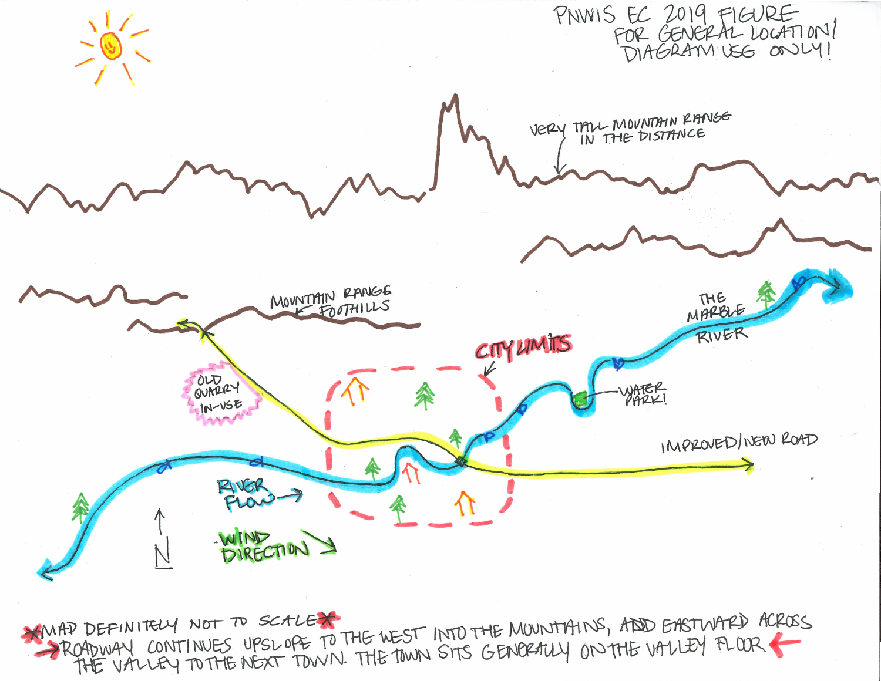

PROPENIELY CONTINUES UPSLOPE TO THE WEST INTO THE MOUNTAINS, ADD EASTWARD ACROSS MAP DEFINITELY NOT TO SCALEX THE VALLEY TO THE NEXT TOWN. THE TOWN SITS GENORALLY ON THE VALLEY FLOOR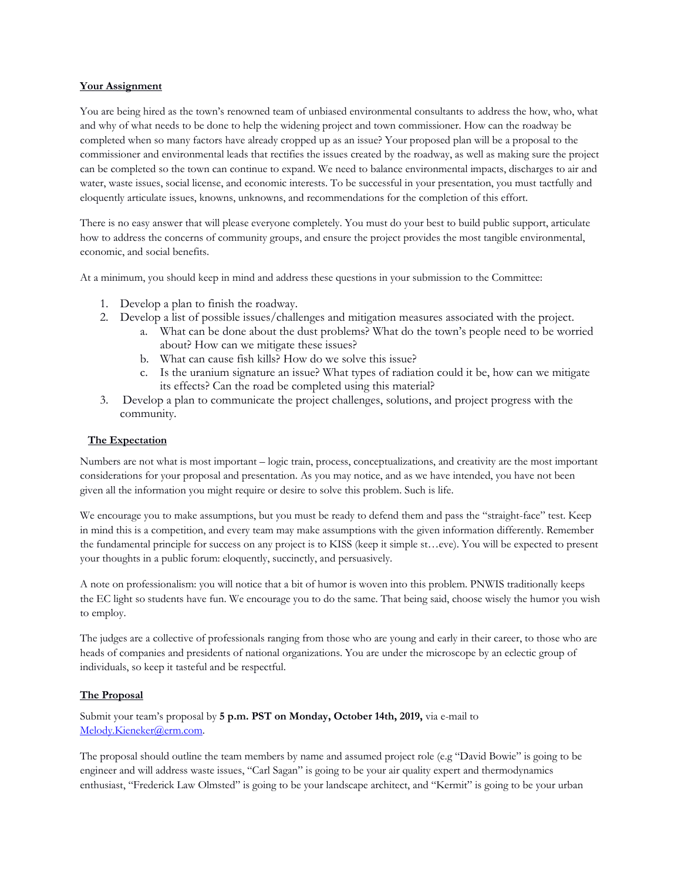#### **Your Assignment**

 commissioner and environmental leads that rectifies the issues created by the roadway, as well as making sure the project You are being hired as the town's renowned team of unbiased environmental consultants to address the how, who, what and why of what needs to be done to help the widening project and town commissioner. How can the roadway be completed when so many factors have already cropped up as an issue? Your proposed plan will be a proposal to the can be completed so the town can continue to expand. We need to balance environmental impacts, discharges to air and water, waste issues, social license, and economic interests. To be successful in your presentation, you must tactfully and eloquently articulate issues, knowns, unknowns, and recommendations for the completion of this effort.

There is no easy answer that will please everyone completely. You must do your best to build public support, articulate how to address the concerns of community groups, and ensure the project provides the most tangible environmental, economic, and social benefits.

At a minimum, you should keep in mind and address these questions in your submission to the Committee: 1. Develop a plan to finish the roadway.

- 
- 2. Develop a list of possible issues/challenges and mitigation measures associated with the project.
	- a. What can be done about the dust problems? What do the town's people need to be worried about? How can we mitigate these issues?
	- b. What can cause fish kills? How do we solve this issue?
	- c. Is the uranium signature an issue? What types of radiation could it be, how can we mitigate its effects? Can the road be completed using this material?
- 3. Develop a plan to communicate the project challenges, solutions, and project progress with the community.

#### **The Expectation**

Numbers are not what is most important – logic train, process, conceptualizations, and creativity are the most important considerations for your proposal and presentation. As you may notice, and as we have intended, you have not been given all the information you might require or desire to solve this problem. Such is life.

 We encourage you to make assumptions, but you must be ready to defend them and pass the "straight-face" test. Keep in mind this is a competition, and every team may make assumptions with the given information differently. Remember the fundamental principle for success on any project is to KISS (keep it simple st…eve). You will be expected to present your thoughts in a public forum: eloquently, succinctly, and persuasively.

A note on professionalism: you will notice that a bit of humor is woven into this problem. PNWIS traditionally keeps the EC light so students have fun. We encourage you to do the same. That being said, choose wisely the humor you wish to employ.

 individuals, so keep it tasteful and be respectful. The judges are a collective of professionals ranging from those who are young and early in their career, to those who are heads of companies and presidents of national organizations. You are under the microscope by an eclectic group of

#### **The Proposal**

Submit your team's proposal by **5 p.m. PST on Monday, October 14th, 2019,** via e-mail to [Melody.Kieneker@erm.com](mailto:Melody.Kieneker@erm.com).

The proposal should outline the team members by name and assumed project role (e.g "David Bowie" is going to be engineer and will address waste issues, "Carl Sagan" is going to be your air quality expert and thermodynamics enthusiast, "Frederick Law Olmsted" is going to be your landscape architect, and "Kermit" is going to be your urban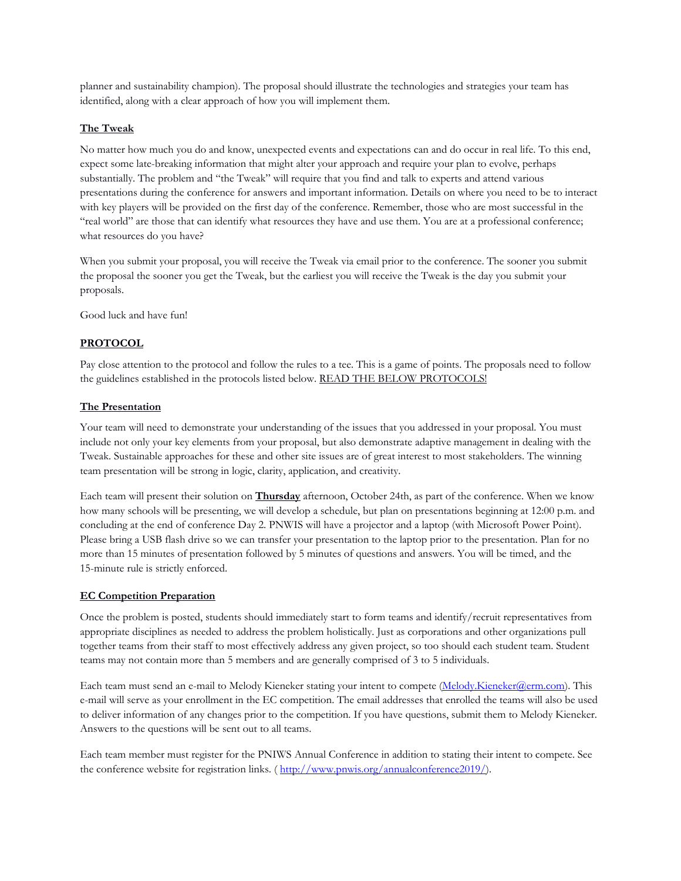planner and sustainability champion). The proposal should illustrate the technologies and strategies your team has identified, along with a clear approach of how you will implement them.

#### **The Tweak**

No matter how much you do and know, unexpected events and expectations can and do occur in real life. To this end, expect some late-breaking information that might alter your approach and require your plan to evolve, perhaps substantially. The problem and "the Tweak" will require that you find and talk to experts and attend various presentations during the conference for answers and important information. Details on where you need to be to interact with key players will be provided on the first day of the conference. Remember, those who are most successful in the "real world" are those that can identify what resources they have and use them. You are at a professional conference; what resources do you have?

When you submit your proposal, you will receive the Tweak via email prior to the conference. The sooner you submit the proposal the sooner you get the Tweak, but the earliest you will receive the Tweak is the day you submit your proposals.

Good luck and have fun!

#### **PROTOCOL**

Pay close attention to the protocol and follow the rules to a tee. This is a game of points. The proposals need to follow the guidelines established in the protocols listed below. READ THE BELOW PROTOCOLS!

#### **The Presentation**

Your team will need to demonstrate your understanding of the issues that you addressed in your proposal. You must include not only your key elements from your proposal, but also demonstrate adaptive management in dealing with the Tweak. Sustainable approaches for these and other site issues are of great interest to most stakeholders. The winning team presentation will be strong in logic, clarity, application, and creativity.

Each team will present their solution on **Thursday** afternoon, October 24th, as part of the conference. When we know how many schools will be presenting, we will develop a schedule, but plan on presentations beginning at 12:00 p.m. and concluding at the end of conference Day 2. PNWIS will have a projector and a laptop (with Microsoft Power Point). Please bring a USB flash drive so we can transfer your presentation to the laptop prior to the presentation. Plan for no more than 15 minutes of presentation followed by 5 minutes of questions and answers. You will be timed, and the 15-minute rule is strictly enforced.

#### **EC Competition Preparation**

Once the problem is posted, students should immediately start to form teams and identify/recruit representatives from appropriate disciplines as needed to address the problem holistically. Just as corporations and other organizations pull together teams from their staff to most effectively address any given project, so too should each student team. Student teams may not contain more than 5 members and are generally comprised of 3 to 5 individuals.

Each team must send an e-mail to Melody Kieneker stating your intent to compete ([Melody.Kieneker@erm.com\)](mailto:Melody.Kieneker@erm.com). This e-mail will serve as your enrollment in the EC competition. The email addresses that enrolled the teams will also be used to deliver information of any changes prior to the competition. If you have questions, submit them to Melody Kieneker. Answers to the questions will be sent out to all teams.

the conference website for registration links. ( <http://www.pnwis.org/annualconference2019>/). Each team member must register for the PNIWS Annual Conference in addition to stating their intent to compete. See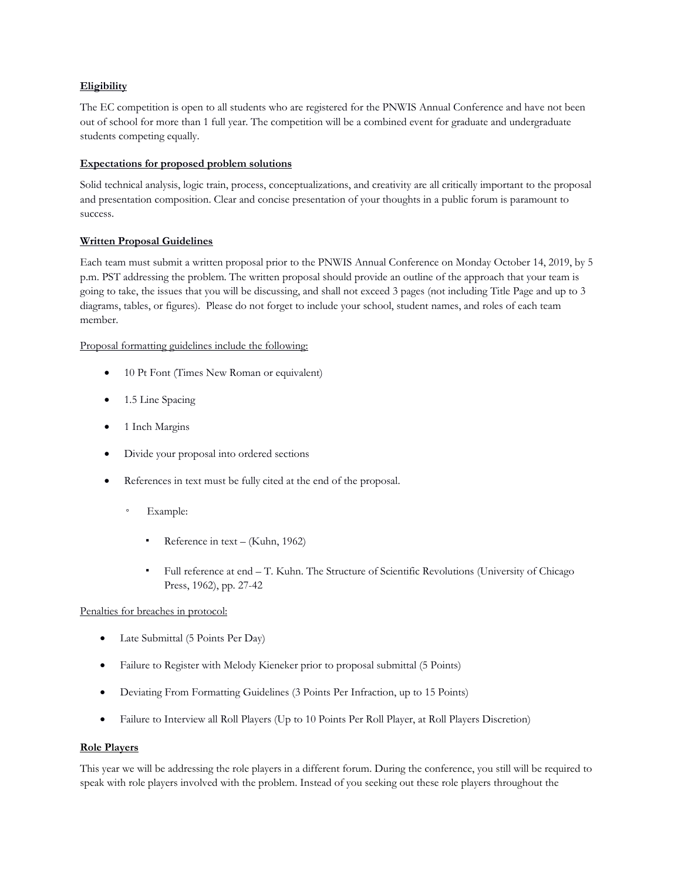#### **Eligibility**

 students competing equally. The EC competition is open to all students who are registered for the PNWIS Annual Conference and have not been out of school for more than 1 full year. The competition will be a combined event for graduate and undergraduate

#### **Expectations for proposed problem solutions**

Solid technical analysis, logic train, process, conceptualizations, and creativity are all critically important to the proposal and presentation composition. Clear and concise presentation of your thoughts in a public forum is paramount to success.

#### **Written Proposal Guidelines**

Each team must submit a written proposal prior to the PNWIS Annual Conference on Monday October 14, 2019, by 5 p.m. PST addressing the problem. The written proposal should provide an outline of the approach that your team is going to take, the issues that you will be discussing, and shall not exceed 3 pages (not including Title Page and up to 3 diagrams, tables, or figures). Please do not forget to include your school, student names, and roles of each team member.

Proposal formatting guidelines include the following:

- 10 Pt Font (Times New Roman or equivalent)
- 1.5 Line Spacing
- 1 Inch Margins
- Divide your proposal into ordered sections
- References in text must be fully cited at the end of the proposal.
	- Example:
		- Reference in text (Kuhn, 1962)
		- Full reference at end T. Kuhn. The Structure of Scientific Revolutions (University of Chicago Press, 1962), pp. 27-42

#### Penalties for breaches in protocol:

- Late Submittal (5 Points Per Day)
- Failure to Register with Melody Kieneker prior to proposal submittal (5 Points)
- Deviating From Formatting Guidelines (3 Points Per Infraction, up to 15 Points)
- Failure to Interview all Roll Players (Up to 10 Points Per Roll Player, at Roll Players Discretion)

#### **Role Players**

This year we will be addressing the role players in a different forum. During the conference, you still will be required to speak with role players involved with the problem. Instead of you seeking out these role players throughout the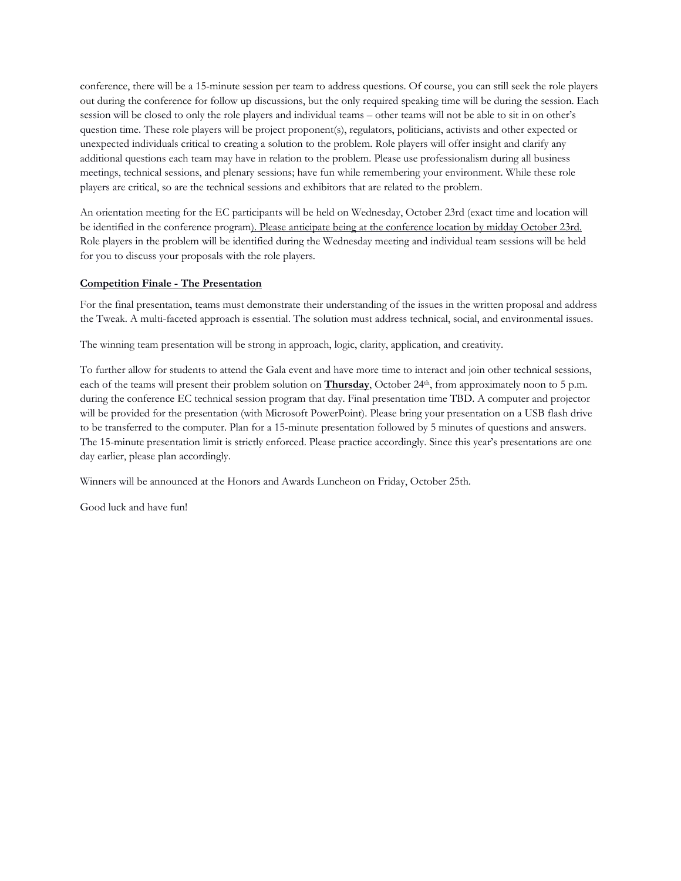conference, there will be a 15-minute session per team to address questions. Of course, you can still seek the role players out during the conference for follow up discussions, but the only required speaking time will be during the session. Each session will be closed to only the role players and individual teams – other teams will not be able to sit in on other's question time. These role players will be project proponent(s), regulators, politicians, activists and other expected or unexpected individuals critical to creating a solution to the problem. Role players will offer insight and clarify any additional questions each team may have in relation to the problem. Please use professionalism during all business meetings, technical sessions, and plenary sessions; have fun while remembering your environment. While these role players are critical, so are the technical sessions and exhibitors that are related to the problem.

An orientation meeting for the EC participants will be held on Wednesday, October 23rd (exact time and location will be identified in the conference program). Please anticipate being at the conference location by midday October 23rd. Role players in the problem will be identified during the Wednesday meeting and individual team sessions will be held for you to discuss your proposals with the role players.

#### **Competition Finale - The Presentation**

For the final presentation, teams must demonstrate their understanding of the issues in the written proposal and address the Tweak. A multi-faceted approach is essential. The solution must address technical, social, and environmental issues.

The winning team presentation will be strong in approach, logic, clarity, application, and creativity.

To further allow for students to attend the Gala event and have more time to interact and join other technical sessions, each of the teams will present their problem solution on **Thursday**, October 24<sup>th</sup>, from approximately noon to 5 p.m. during the conference EC technical session program that day. Final presentation time TBD. A computer and projector will be provided for the presentation (with Microsoft PowerPoint). Please bring your presentation on a USB flash drive to be transferred to the computer. Plan for a 15-minute presentation followed by 5 minutes of questions and answers. The 15-minute presentation limit is strictly enforced. Please practice accordingly. Since this year's presentations are one day earlier, please plan accordingly.

Winners will be announced at the Honors and Awards Luncheon on Friday, October 25th.

Good luck and have fun!